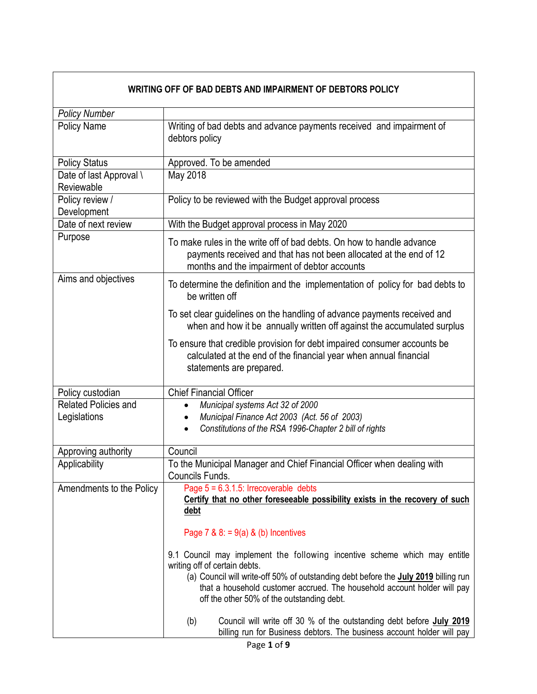| WRITING OFF OF BAD DEBTS AND IMPAIRMENT OF DEBTORS POLICY |                                                                                                                                                                                                                                                                                                                                     |  |
|-----------------------------------------------------------|-------------------------------------------------------------------------------------------------------------------------------------------------------------------------------------------------------------------------------------------------------------------------------------------------------------------------------------|--|
| <b>Policy Number</b>                                      |                                                                                                                                                                                                                                                                                                                                     |  |
| <b>Policy Name</b>                                        | Writing of bad debts and advance payments received and impairment of<br>debtors policy                                                                                                                                                                                                                                              |  |
| <b>Policy Status</b>                                      | Approved. To be amended                                                                                                                                                                                                                                                                                                             |  |
| Date of last Approval \<br>Reviewable                     | May 2018                                                                                                                                                                                                                                                                                                                            |  |
| Policy review /<br>Development                            | Policy to be reviewed with the Budget approval process                                                                                                                                                                                                                                                                              |  |
| Date of next review                                       | With the Budget approval process in May 2020                                                                                                                                                                                                                                                                                        |  |
| Purpose                                                   | To make rules in the write off of bad debts. On how to handle advance<br>payments received and that has not been allocated at the end of 12<br>months and the impairment of debtor accounts                                                                                                                                         |  |
| Aims and objectives                                       | To determine the definition and the implementation of policy for bad debts to<br>be written off                                                                                                                                                                                                                                     |  |
|                                                           | To set clear guidelines on the handling of advance payments received and<br>when and how it be annually written off against the accumulated surplus                                                                                                                                                                                 |  |
|                                                           | To ensure that credible provision for debt impaired consumer accounts be<br>calculated at the end of the financial year when annual financial<br>statements are prepared.                                                                                                                                                           |  |
| Policy custodian                                          | <b>Chief Financial Officer</b>                                                                                                                                                                                                                                                                                                      |  |
| <b>Related Policies and</b><br>Legislations               | Municipal systems Act 32 of 2000<br>$\bullet$<br>Municipal Finance Act 2003 (Act. 56 of 2003)<br>$\bullet$<br>Constitutions of the RSA 1996-Chapter 2 bill of rights                                                                                                                                                                |  |
| Approving authority                                       | Council                                                                                                                                                                                                                                                                                                                             |  |
| Applicability                                             | To the Municipal Manager and Chief Financial Officer when dealing with<br>Councils Funds.                                                                                                                                                                                                                                           |  |
| Amendments to the Policy                                  | Page $5 = 6.3.1.5$ : Irrecoverable debts<br>Certify that no other foreseeable possibility exists in the recovery of such<br><u>debt</u>                                                                                                                                                                                             |  |
|                                                           | Page 7 & $8: = 9(a)$ & (b) Incentives                                                                                                                                                                                                                                                                                               |  |
|                                                           | 9.1 Council may implement the following incentive scheme which may entitle<br>writing off of certain debts.<br>(a) Council will write-off 50% of outstanding debt before the <b>July 2019</b> billing run<br>that a household customer accrued. The household account holder will pay<br>off the other 50% of the outstanding debt. |  |
|                                                           | Council will write off 30 % of the outstanding debt before July 2019<br>(b)<br>billing run for Business debtors. The business account holder will pay                                                                                                                                                                               |  |

┓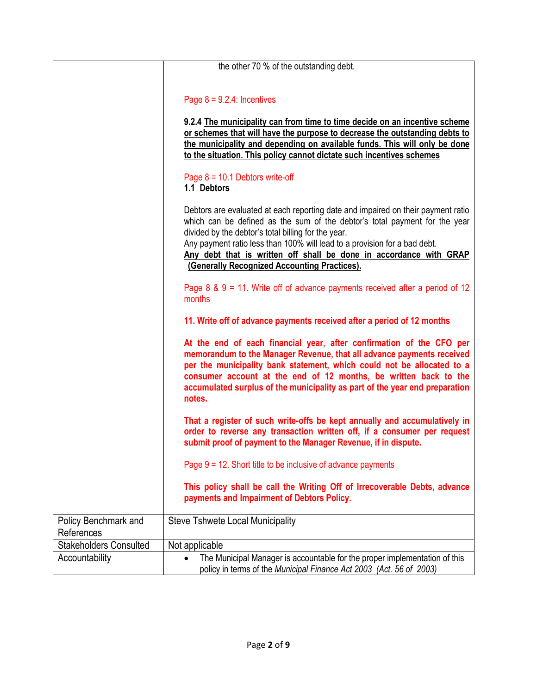|                                    | the other 70 % of the outstanding debt.                                                                                                                                                                                                                                                                                                                                                                                  |
|------------------------------------|--------------------------------------------------------------------------------------------------------------------------------------------------------------------------------------------------------------------------------------------------------------------------------------------------------------------------------------------------------------------------------------------------------------------------|
|                                    |                                                                                                                                                                                                                                                                                                                                                                                                                          |
|                                    | Page $8 = 9.2.4$ : Incentives                                                                                                                                                                                                                                                                                                                                                                                            |
|                                    | 9.2.4 The municipality can from time to time decide on an incentive scheme<br>or schemes that will have the purpose to decrease the outstanding debts to<br>the municipality and depending on available funds. This will only be done<br>to the situation. This policy cannot dictate such incentives schemes                                                                                                            |
|                                    | Page $8 = 10.1$ Debtors write-off<br>1.1 Debtors                                                                                                                                                                                                                                                                                                                                                                         |
|                                    | Debtors are evaluated at each reporting date and impaired on their payment ratio<br>which can be defined as the sum of the debtor's total payment for the year<br>divided by the debtor's total billing for the year.<br>Any payment ratio less than 100% will lead to a provision for a bad debt.<br>Any debt that is written off shall be done in accordance with GRAP<br>(Generally Recognized Accounting Practices). |
|                                    | Page $8 \& 9 = 11$ . Write off of advance payments received after a period of 12<br>months                                                                                                                                                                                                                                                                                                                               |
|                                    | 11. Write off of advance payments received after a period of 12 months                                                                                                                                                                                                                                                                                                                                                   |
|                                    | At the end of each financial year, after confirmation of the CFO per<br>memorandum to the Manager Revenue, that all advance payments received<br>per the municipality bank statement, which could not be allocated to a<br>consumer account at the end of 12 months, be written back to the<br>accumulated surplus of the municipality as part of the year end preparation<br>notes.                                     |
|                                    | That a register of such write-offs be kept annually and accumulatively in<br>order to reverse any transaction written off, if a consumer per request<br>submit proof of payment to the Manager Revenue, if in dispute.                                                                                                                                                                                                   |
|                                    | Page $9 = 12$ . Short title to be inclusive of advance payments                                                                                                                                                                                                                                                                                                                                                          |
|                                    | This policy shall be call the Writing Off of Irrecoverable Debts, advance<br>payments and Impairment of Debtors Policy.                                                                                                                                                                                                                                                                                                  |
| Policy Benchmark and<br>References | <b>Steve Tshwete Local Municipality</b>                                                                                                                                                                                                                                                                                                                                                                                  |
| <b>Stakeholders Consulted</b>      | Not applicable                                                                                                                                                                                                                                                                                                                                                                                                           |
| Accountability                     | The Municipal Manager is accountable for the proper implementation of this<br>policy in terms of the Municipal Finance Act 2003 (Act. 56 of 2003)                                                                                                                                                                                                                                                                        |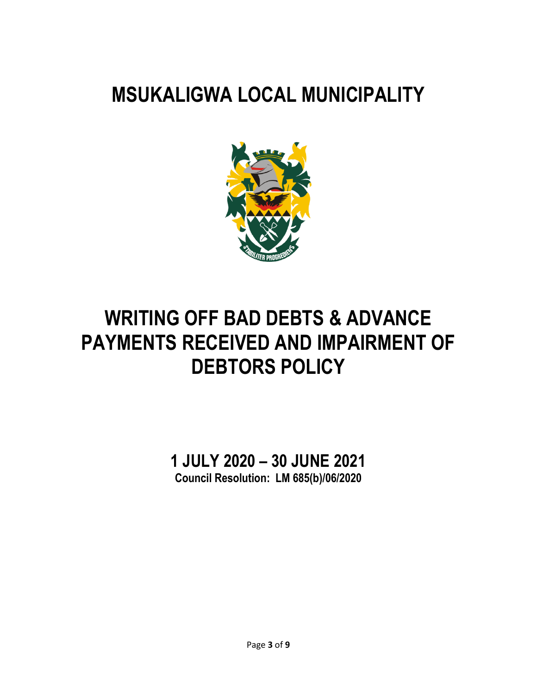# **MSUKALIGWA LOCAL MUNICIPALITY**



# **WRITING OFF BAD DEBTS & ADVANCE PAYMENTS RECEIVED AND IMPAIRMENT OF DEBTORS POLICY**

**1 JULY 2020 – 30 JUNE 2021 Council Resolution: LM 685(b)/06/2020**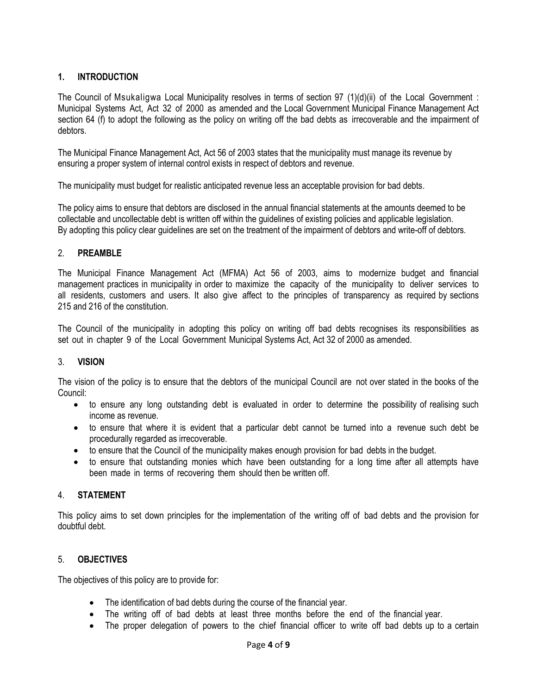## **1. INTRODUCTION**

The Council of Msukaligwa Local Municipality resolves in terms of section 97 (1)(d)(ii) of the Local Government : Municipal Systems Act, Act 32 of 2000 as amended and the Local Government Municipal Finance Management Act section 64 (f) to adopt the following as the policy on writing off the bad debts as irrecoverable and the impairment of debtors.

The Municipal Finance Management Act, Act 56 of 2003 states that the municipality must manage its revenue by ensuring a proper system of internal control exists in respect of debtors and revenue.

The municipality must budget for realistic anticipated revenue less an acceptable provision for bad debts.

The policy aims to ensure that debtors are disclosed in the annual financial statements at the amounts deemed to be collectable and uncollectable debt is written off within the guidelines of existing policies and applicable legislation. By adopting this policy clear guidelines are set on the treatment of the impairment of debtors and write-off of debtors.

## 2. **PREAMBLE**

The Municipal Finance Management Act (MFMA) Act 56 of 2003, aims to modernize budget and financial management practices in municipality in order to maximize the capacity of the municipality to deliver services to all residents, customers and users. It also give affect to the principles of transparency as required by sections 215 and 216 of the constitution.

The Council of the municipality in adopting this policy on writing off bad debts recognises its responsibilities as set out in chapter 9 of the Local Government Municipal Systems Act, Act 32 of 2000 as amended.

#### 3. **VISION**

The vision of the policy is to ensure that the debtors of the municipal Council are not over stated in the books of the Council:

- to ensure any long outstanding debt is evaluated in order to determine the possibility of realising such income as revenue.
- to ensure that where it is evident that a particular debt cannot be turned into a revenue such debt be procedurally regarded as irrecoverable.
- to ensure that the Council of the municipality makes enough provision for bad debts in the budget.
- to ensure that outstanding monies which have been outstanding for a long time after all attempts have been made in terms of recovering them should then be written off.

## 4. **STATEMENT**

This policy aims to set down principles for the implementation of the writing off of bad debts and the provision for doubtful debt.

## 5. **OBJECTIVES**

The objectives of this policy are to provide for:

- The identification of bad debts during the course of the financial year.
- The writing off of bad debts at least three months before the end of the financial year.
- The proper delegation of powers to the chief financial officer to write off bad debts up to a certain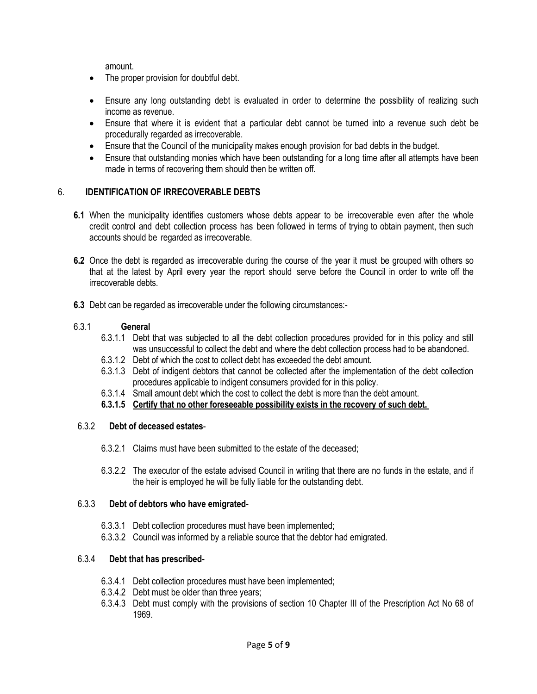amount.

- The proper provision for doubtful debt.
- Ensure any long outstanding debt is evaluated in order to determine the possibility of realizing such income as revenue.
- Ensure that where it is evident that a particular debt cannot be turned into a revenue such debt be procedurally regarded as irrecoverable.
- Ensure that the Council of the municipality makes enough provision for bad debts in the budget.
- Ensure that outstanding monies which have been outstanding for a long time after all attempts have been made in terms of recovering them should then be written off.

### 6. **IDENTIFICATION OF IRRECOVERABLE DEBTS**

- **6.1** When the municipality identifies customers whose debts appear to be irrecoverable even after the whole credit control and debt collection process has been followed in terms of trying to obtain payment, then such accounts should be regarded as irrecoverable.
- **6.2** Once the debt is regarded as irrecoverable during the course of the year it must be grouped with others so that at the latest by April every year the report should serve before the Council in order to write off the irrecoverable debts.
- **6.3** Debt can be regarded as irrecoverable under the following circumstances:-

#### 6.3.1 **General**

- 6.3.1.1 Debt that was subjected to all the debt collection procedures provided for in this policy and still was unsuccessful to collect the debt and where the debt collection process had to be abandoned.
- 6.3.1.2 Debt of which the cost to collect debt has exceeded the debt amount.
- 6.3.1.3 Debt of indigent debtors that cannot be collected after the implementation of the debt collection procedures applicable to indigent consumers provided for in this policy.
- 6.3.1.4 Small amount debt which the cost to collect the debt is more than the debt amount.
- **6.3.1.5 Certify that no other foreseeable possibility exists in the recovery of such debt.**

#### 6.3.2 **Debt of deceased estates**-

- 6.3.2.1 Claims must have been submitted to the estate of the deceased;
- 6.3.2.2 The executor of the estate advised Council in writing that there are no funds in the estate, and if the heir is employed he will be fully liable for the outstanding debt.

#### 6.3.3 **Debt of debtors who have emigrated-**

- 6.3.3.1 Debt collection procedures must have been implemented;
- 6.3.3.2 Council was informed by a reliable source that the debtor had emigrated.

## 6.3.4 **Debt that has prescribed-**

- 6.3.4.1 Debt collection procedures must have been implemented;
- 6.3.4.2 Debt must be older than three years;
- 6.3.4.3 Debt must comply with the provisions of section 10 Chapter III of the Prescription Act No 68 of 1969.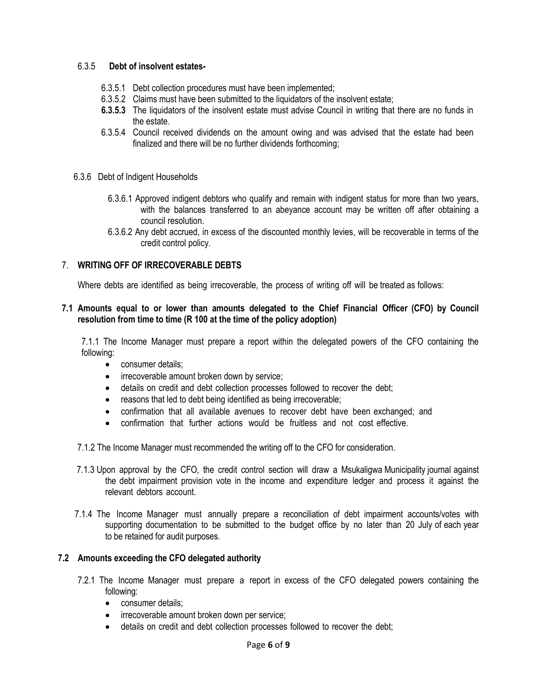#### 6.3.5 **Debt of insolvent estates-**

- 6.3.5.1 Debt collection procedures must have been implemented;
- 6.3.5.2 Claims must have been submitted to the liquidators of the insolvent estate;
- **6.3.5.3** The liquidators of the insolvent estate must advise Council in writing that there are no funds in the estate.
- 6.3.5.4 Council received dividends on the amount owing and was advised that the estate had been finalized and there will be no further dividends forthcoming;
- 6.3.6 Debt of Indigent Households
	- 6.3.6.1 Approved indigent debtors who qualify and remain with indigent status for more than two years, with the balances transferred to an abeyance account may be written off after obtaining a council resolution.
	- 6.3.6.2 Any debt accrued, in excess of the discounted monthly levies, will be recoverable in terms of the credit control policy.

### 7. **WRITING OFF OF IRRECOVERABLE DEBTS**

Where debts are identified as being irrecoverable, the process of writing off will be treated as follows:

#### **7.1 Amounts equal to or lower than amounts delegated to the Chief Financial Officer (CFO) by Council resolution from time to time (R 100 at the time of the policy adoption)**

7.1.1 The Income Manager must prepare a report within the delegated powers of the CFO containing the following:

- consumer details:
- irrecoverable amount broken down by service;
- details on credit and debt collection processes followed to recover the debt;
- reasons that led to debt being identified as being irrecoverable;
- confirmation that all available avenues to recover debt have been exchanged; and
- confirmation that further actions would be fruitless and not cost effective.
- 7.1.2 The Income Manager must recommended the writing off to the CFO for consideration.
- 7.1.3 Upon approval by the CFO, the credit control section will draw a Msukaligwa Municipality journal against the debt impairment provision vote in the income and expenditure ledger and process it against the relevant debtors account.
- 7.1.4 The Income Manager must annually prepare a reconciliation of debt impairment accounts/votes with supporting documentation to be submitted to the budget office by no later than 20 July of each year to be retained for audit purposes.

#### **7.2 Amounts exceeding the CFO delegated authority**

- 7.2.1 The Income Manager must prepare a report in excess of the CFO delegated powers containing the following:
	- consumer details;
	- irrecoverable amount broken down per service;
	- details on credit and debt collection processes followed to recover the debt;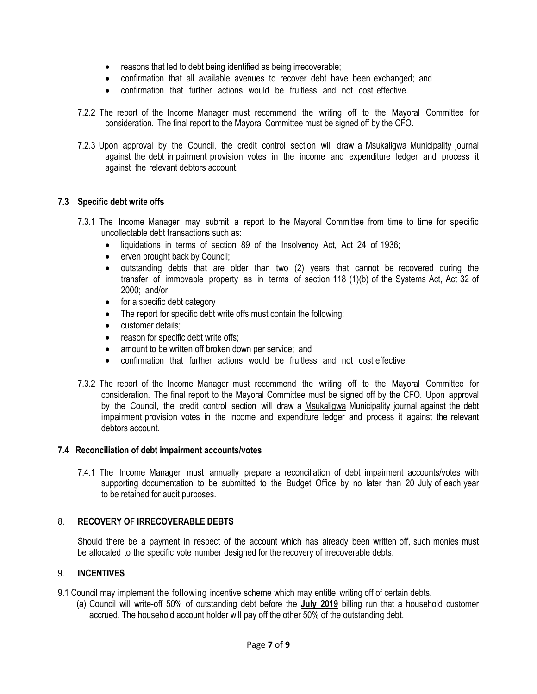- reasons that led to debt being identified as being irrecoverable;
- confirmation that all available avenues to recover debt have been exchanged; and
- confirmation that further actions would be fruitless and not cost effective.
- 7.2.2 The report of the Income Manager must recommend the writing off to the Mayoral Committee for consideration. The final report to the Mayoral Committee must be signed off by the CFO.
- 7.2.3 Upon approval by the Council, the credit control section will draw a Msukaligwa Municipality journal against the debt impairment provision votes in the income and expenditure ledger and process it against the relevant debtors account.

### **7.3 Specific debt write offs**

- 7.3.1 The Income Manager may submit a report to the Mayoral Committee from time to time for specific uncollectable debt transactions such as:
	- liquidations in terms of section 89 of the Insolvency Act, Act 24 of 1936;
	- erven brought back by Council;
	- outstanding debts that are older than two (2) years that cannot be recovered during the transfer of immovable property as in terms of section 118 (1)(b) of the Systems Act, Act 32 of 2000; and/or
	- for a specific debt category
	- The report for specific debt write offs must contain the following:
	- customer details:
	- reason for specific debt write offs;
	- amount to be written off broken down per service; and
	- confirmation that further actions would be fruitless and not cost effective.
- 7.3.2 The report of the Income Manager must recommend the writing off to the Mayoral Committee for consideration. The final report to the Mayoral Committee must be signed off by the CFO. Upon approval by the Council, the credit control section will draw a Msukaligwa Municipality journal against the debt impairment provision votes in the income and expenditure ledger and process it against the relevant debtors account.

#### **7.4 Reconciliation of debt impairment accounts/votes**

7.4.1 The Income Manager must annually prepare a reconciliation of debt impairment accounts/votes with supporting documentation to be submitted to the Budget Office by no later than 20 July of each year to be retained for audit purposes.

#### 8. **RECOVERY OF IRRECOVERABLE DEBTS**

Should there be a payment in respect of the account which has already been written off, such monies must be allocated to the specific vote number designed for the recovery of irrecoverable debts.

#### 9. **INCENTIVES**

- 9.1 Council may implement the following incentive scheme which may entitle writing off of certain debts.
	- (a) Council will write-off 50% of outstanding debt before the **July 2019** billing run that a household customer accrued. The household account holder will pay off the other 50% of the outstanding debt.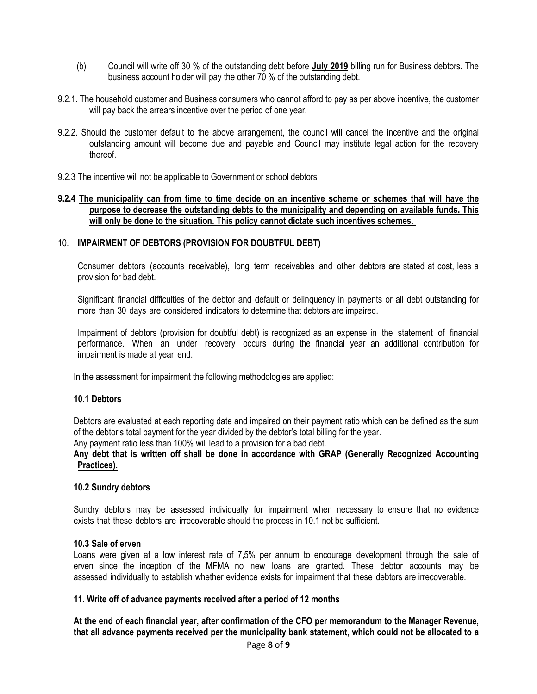- (b) Council will write off 30 % of the outstanding debt before **July 2019** billing run for Business debtors. The business account holder will pay the other 70 % of the outstanding debt.
- 9.2.1. The household customer and Business consumers who cannot afford to pay as per above incentive, the customer will pay back the arrears incentive over the period of one year.
- 9.2.2. Should the customer default to the above arrangement, the council will cancel the incentive and the original outstanding amount will become due and payable and Council may institute legal action for the recovery thereof.
- 9.2.3 The incentive will not be applicable to Government or school debtors

#### **9.2.4 The municipality can from time to time decide on an incentive scheme or schemes that will have the purpose to decrease the outstanding debts to the municipality and depending on available funds. This will only be done to the situation. This policy cannot dictate such incentives schemes.**

#### 10. **IMPAIRMENT OF DEBTORS (PROVISION FOR DOUBTFUL DEBT)**

Consumer debtors (accounts receivable), long term receivables and other debtors are stated at cost, less a provision for bad debt.

Significant financial difficulties of the debtor and default or delinquency in payments or all debt outstanding for more than 30 days are considered indicators to determine that debtors are impaired.

Impairment of debtors (provision for doubtful debt) is recognized as an expense in the statement of financial performance. When an under recovery occurs during the financial year an additional contribution for impairment is made at year end.

In the assessment for impairment the following methodologies are applied:

#### **10.1 Debtors**

Debtors are evaluated at each reporting date and impaired on their payment ratio which can be defined as the sum of the debtor's total payment for the year divided by the debtor's total billing for the year.

Any payment ratio less than 100% will lead to a provision for a bad debt.

#### **Any debt that is written off shall be done in accordance with GRAP (Generally Recognized Accounting Practices).**

#### **10.2 Sundry debtors**

Sundry debtors may be assessed individually for impairment when necessary to ensure that no evidence exists that these debtors are irrecoverable should the process in 10.1 not be sufficient.

#### **10.3 Sale of erven**

Loans were given at a low interest rate of 7,5% per annum to encourage development through the sale of erven since the inception of the MFMA no new loans are granted. These debtor accounts may be assessed individually to establish whether evidence exists for impairment that these debtors are irrecoverable.

#### **11. Write off of advance payments received after a period of 12 months**

**At the end of each financial year, after confirmation of the CFO per memorandum to the Manager Revenue, that all advance payments received per the municipality bank statement, which could not be allocated to a**